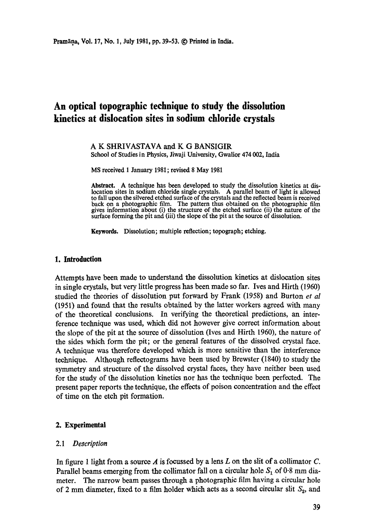# **An optical topographic technique to study the dissolution kinetics at dislocation sites in sodium chloride crystals**

#### A K SHRIVASTAVA and K G BANSIGIR School of Studies in Physics, Jiwaji University, Gwalior 474 002, India

MS received 1 January 1981; revised 8 May 1981

Abstract. A technique has been developed to study the dissolution kinetics at dislocation sites in sodium chloride single crystals. A parallel beam of light is allowed to fall upon the silvered etched surface of the crystals and the reflected beam is received back on a photographic film. The pattern thus obtained on the photographic film gives information about (i) the structure of the etched surface (ii) the nature of the surface forming the pit and (iii) the slope of the pit at the source of dissolution.

Keywords. Dissolution; multiple reflection; topograph; etching.

### **1. Introduction**

Attempts have been made to understand the dissolution kinetics at dislocation sites in single crystals, but very little progress has been made so far. Ives and Hirth (1960) studied the theories of dissolution put forward by Frank (1958) and Burton *et al*  (1951) and found that the results obtained by the latter workers agreed with many of the theoretical conclusions. In verifying the theoretical predictions, an interference technique was used, which did not however give correct information about the slope of the pit at the source of dissolution (Ives and Hirth 1960), the nature of the sides which form the pit; or the general features of the dissolved crystal face. A technique was therefore developed which is more sensitive than the interference technique. Although reflectograms have been used by Brewster (1840) to study the symmetry and structure of the dissolved crystal faces, they have neither been used for the study of the dissolution kinetics nor has the technique been perfected. The present paper reports the technique, the effects of poison concentration and the effect of time on the etch pit formation.

## **2. Experimental**

#### *2.1 Description*

In figure 1 light from a source  $A$  is focussed by a lens  $L$  on the slit of a collimator  $C$ . Parallel beams emerging from the collimator fall on a circular hole  $S_1$  of 0.8 mm diameter. The narrow beam passes through a photographic film having a circular hole of 2 mm diameter, fixed to a film holder which acts as a second circular slit  $S_2$ , and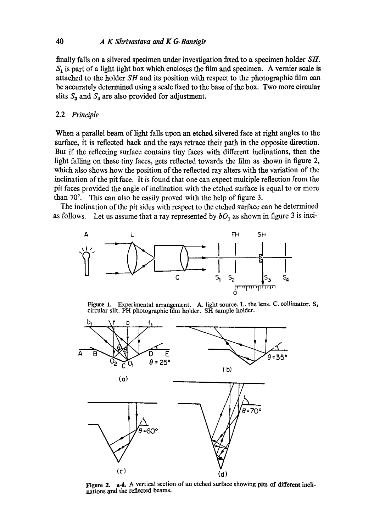## 40 *A K Shrivastava and K G. Bansigir*

finally falls on a silvered specimen under investigation fixed to a specimen holder *SH.*   $S_1$  is part of a light tight box which encloses the film and specimen. A vernier scale is attached to the holder *SH* and its position with respect to the photographic film can be accurately determined using a scale fixed to the base of the box. Two more circular slits  $S_3$  and  $S_4$  are also provided for adjustment.

## 2.2 *Principle*

When a parallel beam of light falls upon an etched silvered face at right angles to the surface, it is reflected back and the rays retrace their path in the opposite direction. But if the reflecting surface contains tiny faces with different inclinations, then the light falling on these tiny faces, gets reflected towards the film as shown in figure 2, which also shows how the position of the reflected ray alters with the variation of the inclination of the pit face. It is found that one can expect multiple reflection from the pit faces provided the angle of inclination with the etched surface is equal to or more than  $70^\circ$ . This can also be easily proved with the help of figure 3.

The inclination of the pit sides with respect to the etched surface can be determined as follows. Let us assume that a ray represented by  $bO_1$  as shown in figure 3 is inci-



Figure 1. Experimental arrangement. A. light source. L. the lens. C. collimator.  $S_1$ circular slit. PH photographic film holder. SH sample holder.



Figure 2. a-d. A vertical section of an etched surface showing pits of different inclinations and the reflected beams.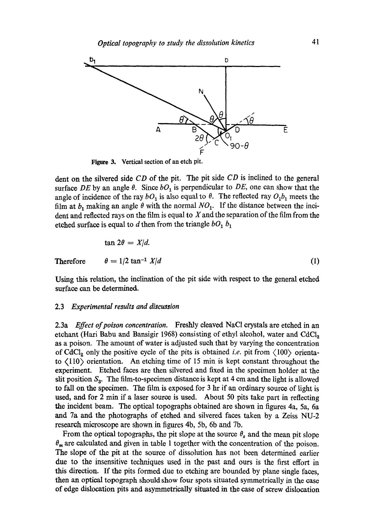

Figure 3. Vertical section of an etch pit.

dent on the silvered side *CD* of the pit. The pit side *CD* is inclined to the general surface DE by an angle  $\theta$ . Since  $bO_1$  is perpendicular to DE, one can show that the angle of incidence of the ray  $bO_1$  is also equal to  $\theta$ . The reflected ray  $O_1b_1$  meets the film at  $b_1$  making an angle  $\theta$  with the normal  $NO_1$ . If the distance between the incident and reflected rays on the film is equal to  $X$  and the separation of the film from the etched surface is equal to  $d$  then from the triangle  $bO_1$ ,  $b_1$ 

$$
\tan 2\theta = X/d.
$$
\nTherefore

\n
$$
\theta = 1/2 \tan^{-1} X/d
$$
\n(1)

Using this relation, the inclination of the pit side with respect to the general etched surface can be determined.

#### 2.3 *Experimental results and discussion*

2.3a *Effect of poison concentration.* Freshly cleaved NaC1 crystals are etched in an etchant (Hari Babu and Bansigir 1968) consisting of ethyl alcohol, water and CdCl<sub>2</sub> as a poison. The amount of water is adjusted such that by varying the concentration of CdCl<sub>2</sub> only the positive cycle of the pits is obtained *i.e.* pit from  $\langle 100 \rangle$  orientato  $\langle 110 \rangle$  orientation. An etching time of 15 min is kept constant throughout the experiment. Etched faces are then silvered and fixed in the specimen holder at the slit position  $S_3$ . The film-to-specimen distance is kept at 4 cm and the light is allowed to fall on the specimen. The film is exposed for 3 hr if an ordinary source of light is used, and for 2 min if a laser source is used. About 50 pits take part in reflecting the incident beam. The optical topographs obtained are shown in figures 4a, 5a, 6a and 7a and the photographs of etched and silvered faces taken by a Zeiss NU-2 research microscope are shown in figures 4b, 5b, 6b and 7b.

From the optical topographs, the pit slope at the source  $\theta_s$  and the mean pit slope  $\theta_m$  are calculated and given in table 1 together with the concentration of the poison. The slope of the pit at the source of dissolution has not been determined earlier due to the insensitive techniques used in the past and ours is the first effort in this direction. If the pits formed due to etching are bounded by plane single faces, then an optical topograph should show four spots situated symmetrically in the case of edge dislocation pits and asymmetrically situated in the case of screw dislocation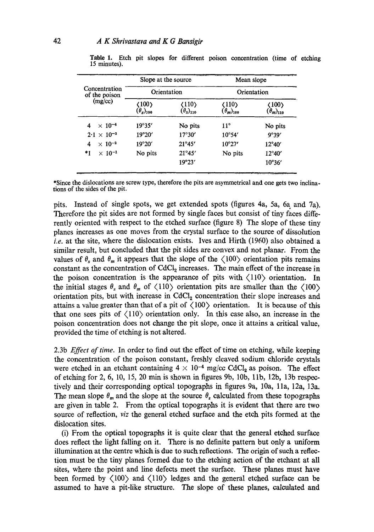| Concentration<br>of the poison<br>(mg/cc) | Slope at the source<br>Orientation |                 | Mean slope<br>Orientation |                 |
|-------------------------------------------|------------------------------------|-----------------|---------------------------|-----------------|
|                                           |                                    |                 |                           |                 |
|                                           | $\times$ 10 <sup>-4</sup><br>4     | 19°35'          | No pits                   | $11^{\circ}$    |
| $2.1 \times 10^{-3}$                      | 19°20'                             | $17^{\circ}30'$ | $10^{\circ}54'$           | 9°39'           |
| $\times 10^{-2}$<br>4                     | 19°20'                             | 21°45'          | $10^{\circ}27'$           | $12^{\circ}40'$ |
| *1<br>$\times$ 10 <sup>-1</sup>           | No pits                            | 21°45'          | No pits                   | $12^{\circ}40'$ |
|                                           |                                    | 19°23'          |                           | 10°36'          |

**Table** I. Etch pit slopes for different poison concentration (time of etching 15 minutes).

\*Since the dislocations are screw type, therefore the pits are asymmetrical and one gets two inclinations of the sides of the pit.

\_ . , .1, . ..... ,

pits. Instead of single spots, we get extended spots (figures 4a, 5a, 6a and 7a). Therefore the pit sides are not formed by single faces but consist of tiny faces differently oriented with respect to the etched surface (figure 8) The slope of these tiny planes increases as one moves from the crystal surface to the source of dissolution *i.e.* at the site, where the dislocation exists. Ives and Hirth (1960) also obtained a similar result, but concluded that the pit sides are convex and not planar. From the values of  $\theta_s$  and  $\theta_m$  it appears that the slope of the  $\langle 100 \rangle$  orientation pits remains constant as the concentration of  $CdCl<sub>2</sub>$  increases. The main effect of the increase in the poison concentration is the appearance of pits with  $\langle 110 \rangle$  orientation. In the initial stages  $\theta_s$  and  $\theta_m$  of  $\langle 110 \rangle$  orientation pits are smaller than the  $\langle 100 \rangle$ orientation pits, but with increase in CdCl<sub>2</sub> concentration their slope increases and attains a value greater than that of a pit of  $\langle 100 \rangle$  orientation. It is because of this that one sees pits of  $\langle 110 \rangle$  orientation only. In this case also, an increase in the poison concentration does not change the pit slope, once it attains a critical value, provided the time of etching is not altered.

2.3b *Effect of time.* In order to find out the effect of time on etching, while keeping the concentration of the poison constant, freshly cleaved sodium chloride crystals were etched in an etchant containing  $4 \times 10^{-4}$  mg/cc CdCl<sub>2</sub> as poison. The effect of etching for 2, 6, 10, 15, 20 min is shown in figures 9b, 10b, lib, 12b, 13b respectively and their corresponding optical topographs in figures 9a, 10a, lla, 12a, 13a. The mean slope  $\theta_m$  and the slope at the source  $\theta_s$  calculated from these topographs are given in table 2. From the optical topographs it is evident that there are two source of reflection, *viz* the general etched surface and the etch pits formed at the dislocation sites.

(i) From the optical topographs it is quite clear that the general etched surface does reflect the light falling on it. There is no definite pattern but only a uniform illumination at the centre which is due to such reflections. The origin of such a reflection must be the tiny planes formed due to the etching action of the etchant at all sites, where the point and line defects meet the surface. These planes must have been formed by  $\langle 100 \rangle$  and  $\langle 110 \rangle$  ledges and the general etched surface can be assumed to have a pit-like structure. The slope of these planes, calculated and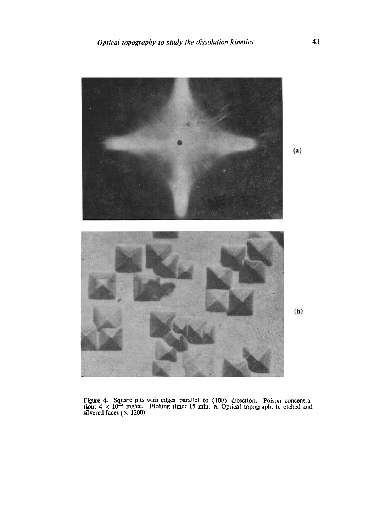

 $(b)$ 

Figure 4. Square pits with edges parallel to  $\langle 100 \rangle$  direction. Poison concentration:  $4 \times 10^{-4}$  mg/cc. Etching time: 15 min. a. Optical topograph, b. etched and silvered faces ( $\times$  1200)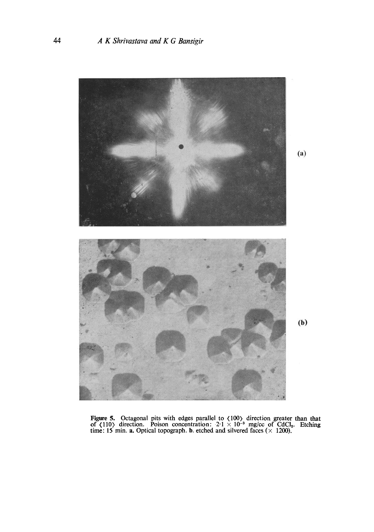

**(a)** 

**(b)** 

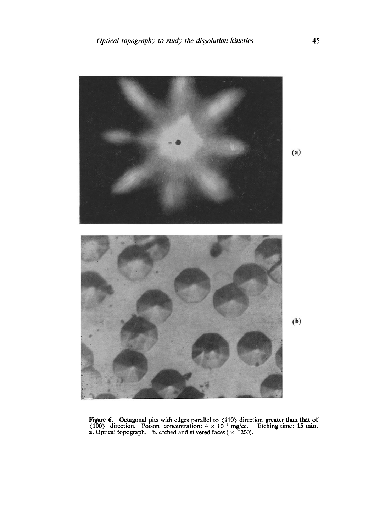

Figure 6. Octagonal pits with edges parallel to  $\langle 110 \rangle$  direction greater than that of  $\langle 100 \rangle$  direction. Poison concentration:  $4 \times 10^{-2}$  mg/cc. Etching time: 15 min. **a.** Optical topograph. **b.** etched and silvered faces ( $\times$  1200).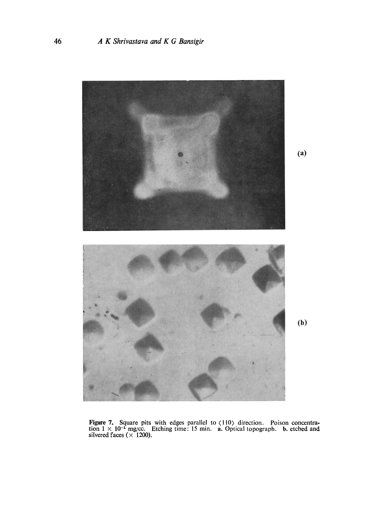

**Figure 7. Square pits with edges parallel to (110) direction. Poison concentra**tion  $1 \times 10^{-1}$  mg/cc. Etching time: 15 min. a. Optical topograph. b. etched and **silvered faces (x 1200).**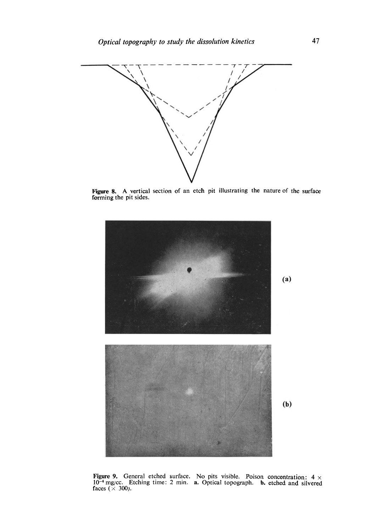

Figure 8. A vertical section of an etch pit illustrating the nature of the surface forming the pit sides.



Figure 9. General etched surface.  $10^{-4}$  mg/cc. Etching time: 2 min. faces  $(\times 300)$ . No pits visible. Poison concentration: 4  $\times$ a. Optical topograph, b. etched and silvered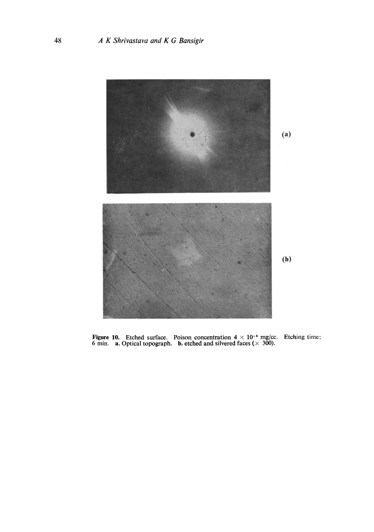

Figure 10. Etched surface. Poison concentration  $4 \times 10^{-4}$  mg/cc. Etching time: 6 min. **a.** Optical topograph. **b.** etched and silvered faces ( $\times$  300).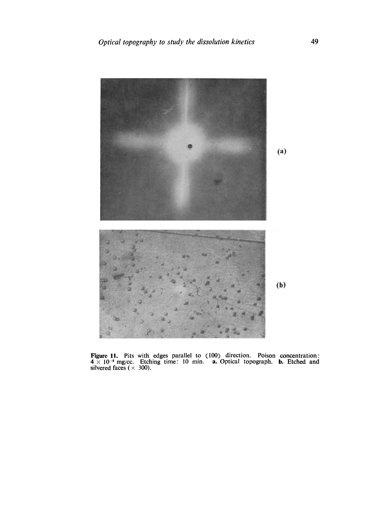

Figure 11. Pits with edges parallel to (100) direction. Poison concentration:  $4 \times 10^{-4}$  mg/cc. Etching time: 10 min. a. Optical topograph. b. Etched and silvered faces ( $\times$  300).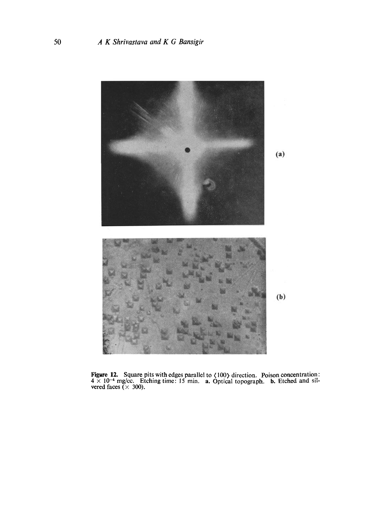

**Figure 12.** Square pits with edges parallel to  $\langle 100 \rangle$  direction. Poison concentration:  $4 \times 10^{-4}$  mg/cc. Etching time: 15 min. a. Optical topograph. b. Etched and silvered faces ( $\times$  300).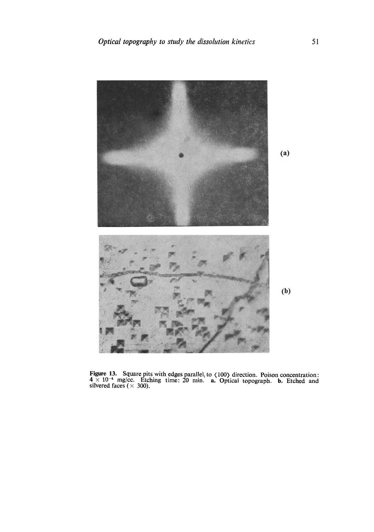

**Figure 13.** Square pits with edges parallel<sub>1</sub> to  $\langle 100 \rangle$  direction. Poison concentration:  $4 \times 10^{-4}$  mg/cc. Etching time: 20 min. **a.** Optical topograph. **b.** Etched and silvered faces ( $\times$  300).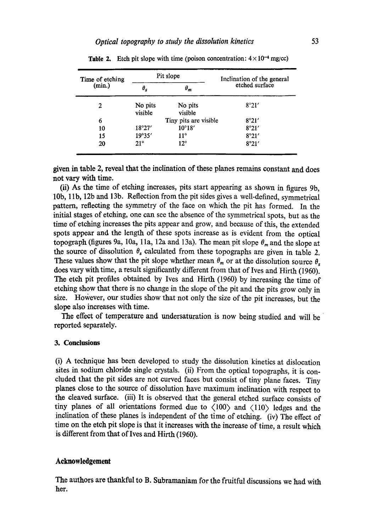| Time of etching<br>(min.) | Pit slope          |                       | Inclination of the general |
|---------------------------|--------------------|-----------------------|----------------------------|
|                           | $\theta_s$         | $\theta_m$            | etched surface             |
| 2                         | No pits<br>visible | No pits<br>visible    | 8°21'                      |
| 6                         |                    | Tiny pits are visible | 8°21'                      |
| 10                        | 18°27'             | $10^{\circ}18'$       | 8°21'                      |
| 15                        | 19°35'             | $11^{\circ}$          | 8°21'                      |
| 20                        | $21^{\circ}$       | $12^{\circ}$          | 8°21'                      |

|  |  | <b>Table 2.</b> Etch pit slope with time (poison concentration: $4 \times 10^{-4}$ mg/cc) |
|--|--|-------------------------------------------------------------------------------------------|
|--|--|-------------------------------------------------------------------------------------------|

given in table 2, reveal that the inclination of these planes remains constant and does **not** vary with time.

(ii) As the time of etching increases, pits start appearing as shown in figures 9b, 10b, 1 lb, 12b and 13b. Reflection from the pit sides gives a well-defined, symmetrical pattern, reflecting the symmetry of the face on which the pit has formed. In the initial stages of etching, one can see the absence of the symmetrical spots, but as the time of etching increases the pits appear and grow, and because of this, the extended spots appear and the length of these spots increase as is evident from the optical topograph (figures 9a, 10a, 11a, 12a and 13a). The mean pit slope  $\theta_m$  and the slope at the source of dissolution  $\theta_s$  calculated from these topographs are given in table 2. These values show that the pit slope whether mean  $\theta_m$  or at the dissolution source  $\theta_s$ does vary with time, a result significantly different from that of Ives and Hirth (1960). The etch pit profiles obtained by Ives and Hirth (1960) by increasing the time of etching show that there is no change in the slope of the pit and the pits grow only in size. However, our studies show that not only the size of the pit increases, but the slope also increases with time.

The effect of temperature and undersaturation is now being studied and will be reported separately.

## **3. Conclusions**

(i) A technique has been developed to study the dissolution kinetics at dislocation sites in sodium chloride single crystals. (ii) From the optical topographs, it is coneluded that the pit sides are not curved faces but consist of tiny plane faces. Tiny planes close to the source of dissolution have maximum inclination with respect to the cleaved surface. (iii) It is observed that the general etched surface consists of tiny planes of all orientations formed due to  $\langle 100 \rangle$  and  $\langle 110 \rangle$  ledges and the inclination of these planes is independent of the time of etching. (iv) The effect of time on the etch pit slope is that it increases with the increase of time, a result which is different from that of Ives and Hirth (1960).

#### **Acknowledgement**

The authors are thankful to B. Subramaniam for the fruitful discussions we had with her.